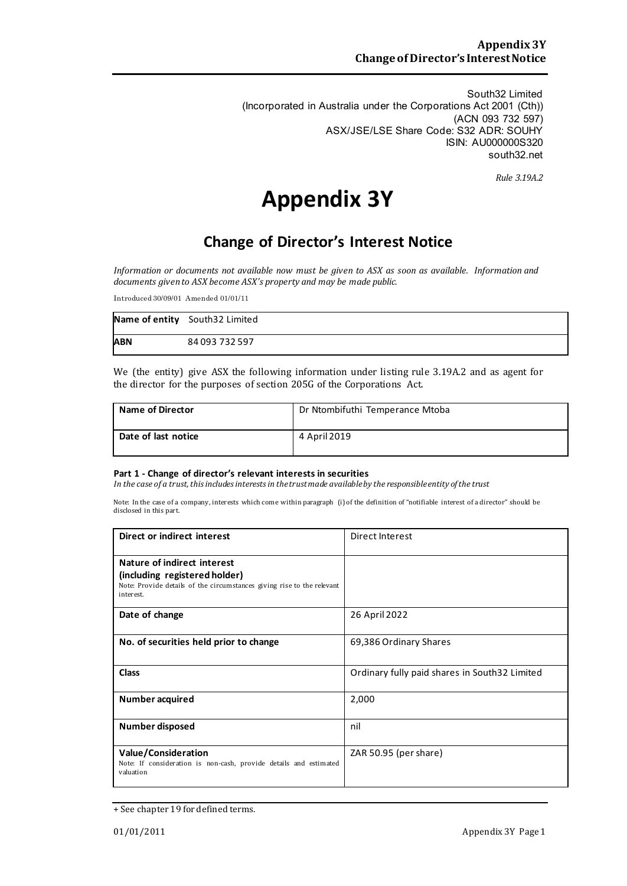South32 Limited (Incorporated in Australia under the Corporations Act 2001 (Cth)) (ACN 093 732 597) ASX/JSE/LSE Share Code: S32 ADR: SOUHY ISIN: AU000000S320 south32.net

*Rule 3.19A.2*

# **Appendix 3Y**

# **Change of Director's Interest Notice**

*Information or documents not available now must be given to ASX as soon as available. Information and documents given to ASX become ASX's property and may be made public.*

Introduced 30/09/01 Amended 01/01/11

|            | Name of entity South32 Limited |
|------------|--------------------------------|
| <b>ABN</b> | 84 093 732 597                 |

We (the entity) give ASX the following information under listing rule 3.19A.2 and as agent for the director for the purposes of section 205G of the Corporations Act.

| <b>Name of Director</b> | Dr Ntombifuthi Temperance Mtoba |
|-------------------------|---------------------------------|
| Date of last notice     | 4 April 2019                    |

#### **Part 1 - Change of director's relevant interests in securities**

*In the case of a trust, this includes interests in the trust made available by the responsibleentity of the trust*

Note: In the case of a company, interests which come within paragraph (i) of the definition of "notifiable interest of a director" should be disclosed in this part.

| Direct or indirect interest                                                                                                                         | Direct Interest                               |  |
|-----------------------------------------------------------------------------------------------------------------------------------------------------|-----------------------------------------------|--|
| Nature of indirect interest<br>(including registered holder)<br>Note: Provide details of the circumstances giving rise to the relevant<br>interest. |                                               |  |
| Date of change                                                                                                                                      | 26 April 2022                                 |  |
| No. of securities held prior to change                                                                                                              | 69,386 Ordinary Shares                        |  |
| <b>Class</b>                                                                                                                                        | Ordinary fully paid shares in South32 Limited |  |
| Number acquired                                                                                                                                     | 2,000                                         |  |
| Number disposed                                                                                                                                     | nil                                           |  |
| <b>Value/Consideration</b><br>Note: If consideration is non-cash, provide details and estimated<br>valuation                                        | ZAR 50.95 (per share)                         |  |

<sup>+</sup> See chapter 19 for defined terms.